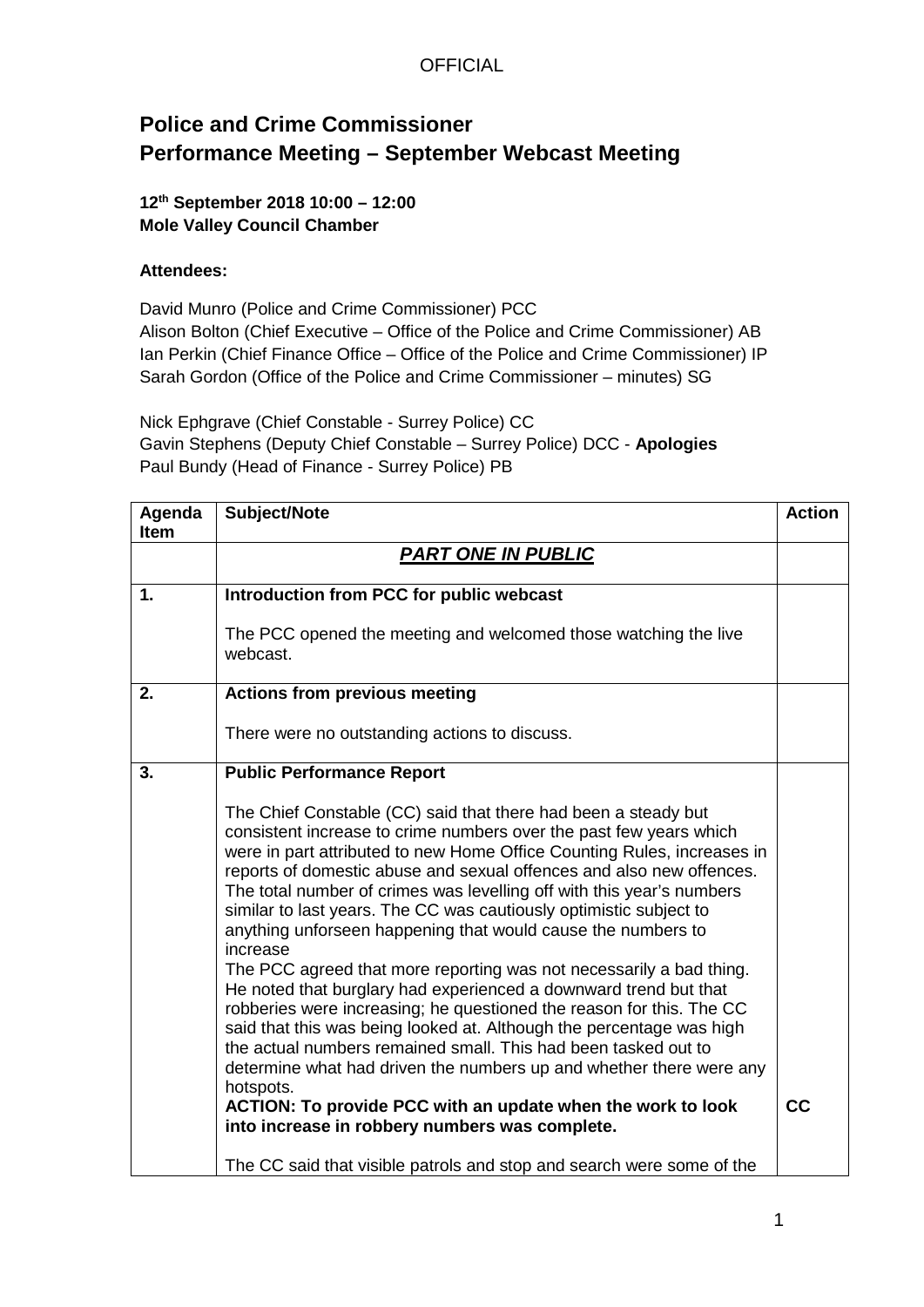## **Police and Crime Commissioner Performance Meeting – September Webcast Meeting**

#### **12th September 2018 10:00 – 12:00 Mole Valley Council Chamber**

#### **Attendees:**

David Munro (Police and Crime Commissioner) PCC Alison Bolton (Chief Executive – Office of the Police and Crime Commissioner) AB Ian Perkin (Chief Finance Office – Office of the Police and Crime Commissioner) IP Sarah Gordon (Office of the Police and Crime Commissioner – minutes) SG

Nick Ephgrave (Chief Constable - Surrey Police) CC Gavin Stephens (Deputy Chief Constable – Surrey Police) DCC - **Apologies** Paul Bundy (Head of Finance - Surrey Police) PB

| Agenda<br><b>Item</b> | Subject/Note                                                                                                                                                                                                                                                                                                                                                                                                                                                                                                                                                                                                                                                                                                                                                                                                                                                                                                                                                                                                                                                                         | <b>Action</b> |
|-----------------------|--------------------------------------------------------------------------------------------------------------------------------------------------------------------------------------------------------------------------------------------------------------------------------------------------------------------------------------------------------------------------------------------------------------------------------------------------------------------------------------------------------------------------------------------------------------------------------------------------------------------------------------------------------------------------------------------------------------------------------------------------------------------------------------------------------------------------------------------------------------------------------------------------------------------------------------------------------------------------------------------------------------------------------------------------------------------------------------|---------------|
|                       | <b>PART ONE IN PUBLIC</b>                                                                                                                                                                                                                                                                                                                                                                                                                                                                                                                                                                                                                                                                                                                                                                                                                                                                                                                                                                                                                                                            |               |
| 1.                    | Introduction from PCC for public webcast                                                                                                                                                                                                                                                                                                                                                                                                                                                                                                                                                                                                                                                                                                                                                                                                                                                                                                                                                                                                                                             |               |
|                       | The PCC opened the meeting and welcomed those watching the live<br>webcast.                                                                                                                                                                                                                                                                                                                                                                                                                                                                                                                                                                                                                                                                                                                                                                                                                                                                                                                                                                                                          |               |
| 2.                    | <b>Actions from previous meeting</b>                                                                                                                                                                                                                                                                                                                                                                                                                                                                                                                                                                                                                                                                                                                                                                                                                                                                                                                                                                                                                                                 |               |
|                       | There were no outstanding actions to discuss.                                                                                                                                                                                                                                                                                                                                                                                                                                                                                                                                                                                                                                                                                                                                                                                                                                                                                                                                                                                                                                        |               |
| 3.                    | <b>Public Performance Report</b>                                                                                                                                                                                                                                                                                                                                                                                                                                                                                                                                                                                                                                                                                                                                                                                                                                                                                                                                                                                                                                                     |               |
|                       | The Chief Constable (CC) said that there had been a steady but<br>consistent increase to crime numbers over the past few years which<br>were in part attributed to new Home Office Counting Rules, increases in<br>reports of domestic abuse and sexual offences and also new offences.<br>The total number of crimes was levelling off with this year's numbers<br>similar to last years. The CC was cautiously optimistic subject to<br>anything unforseen happening that would cause the numbers to<br>increase<br>The PCC agreed that more reporting was not necessarily a bad thing.<br>He noted that burglary had experienced a downward trend but that<br>robberies were increasing; he questioned the reason for this. The CC<br>said that this was being looked at. Although the percentage was high<br>the actual numbers remained small. This had been tasked out to<br>determine what had driven the numbers up and whether there were any<br>hotspots.<br>ACTION: To provide PCC with an update when the work to look<br>into increase in robbery numbers was complete. | cc            |
|                       | The CC said that visible patrols and stop and search were some of the                                                                                                                                                                                                                                                                                                                                                                                                                                                                                                                                                                                                                                                                                                                                                                                                                                                                                                                                                                                                                |               |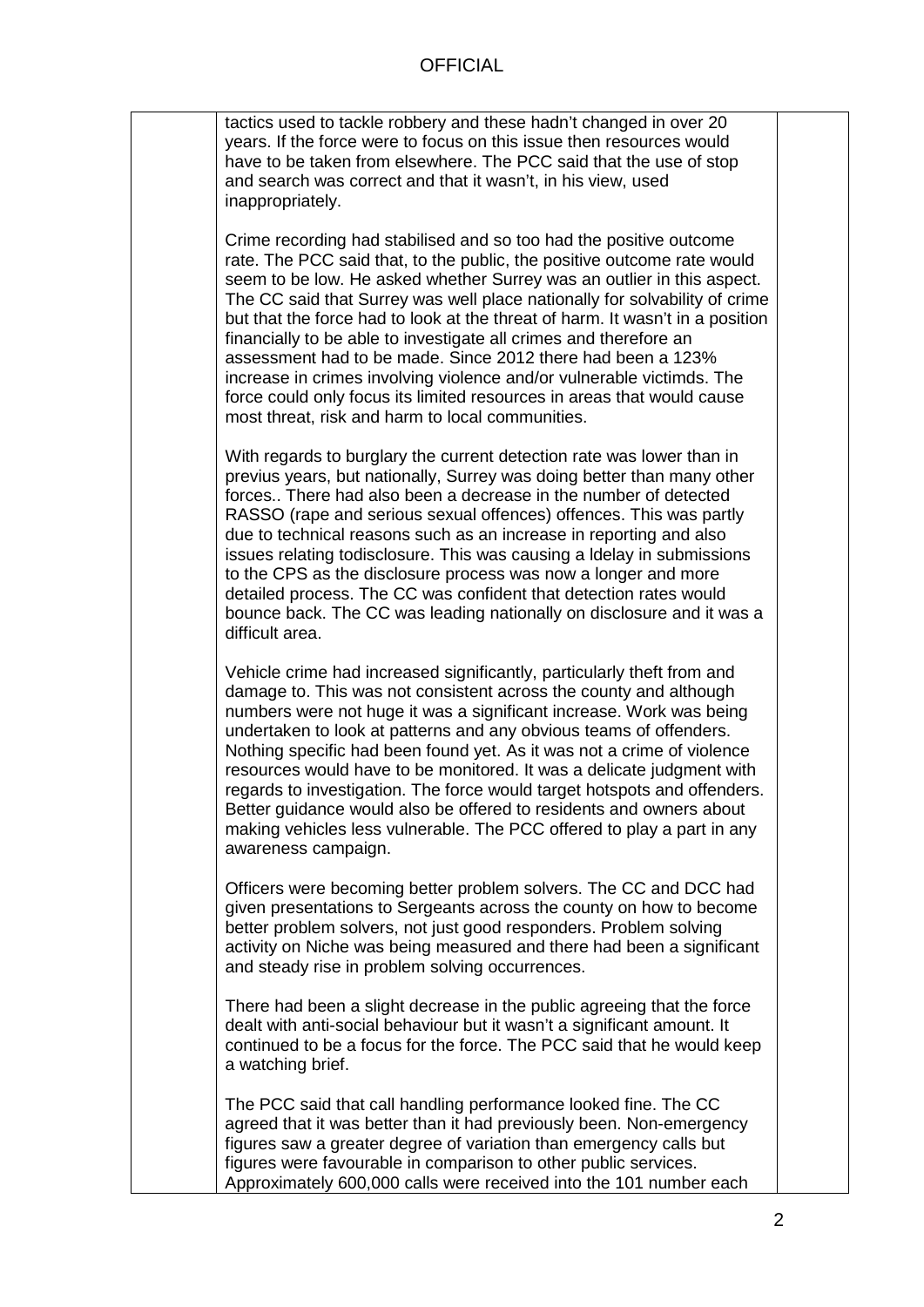tactics used to tackle robbery and these hadn't changed in over 20 years. If the force were to focus on this issue then resources would have to be taken from elsewhere. The PCC said that the use of stop and search was correct and that it wasn't, in his view, used inappropriately.

Crime recording had stabilised and so too had the positive outcome rate. The PCC said that, to the public, the positive outcome rate would seem to be low. He asked whether Surrey was an outlier in this aspect. The CC said that Surrey was well place nationally for solvability of crime but that the force had to look at the threat of harm. It wasn't in a position financially to be able to investigate all crimes and therefore an assessment had to be made. Since 2012 there had been a 123% increase in crimes involving violence and/or vulnerable victimds. The force could only focus its limited resources in areas that would cause most threat, risk and harm to local communities.

With regards to burglary the current detection rate was lower than in previus years, but nationally, Surrey was doing better than many other forces.. There had also been a decrease in the number of detected RASSO (rape and serious sexual offences) offences. This was partly due to technical reasons such as an increase in reporting and also issues relating todisclosure. This was causing a ldelay in submissions to the CPS as the disclosure process was now a longer and more detailed process. The CC was confident that detection rates would bounce back. The CC was leading nationally on disclosure and it was a difficult area.

Vehicle crime had increased significantly, particularly theft from and damage to. This was not consistent across the county and although numbers were not huge it was a significant increase. Work was being undertaken to look at patterns and any obvious teams of offenders. Nothing specific had been found yet. As it was not a crime of violence resources would have to be monitored. It was a delicate judgment with regards to investigation. The force would target hotspots and offenders. Better guidance would also be offered to residents and owners about making vehicles less vulnerable. The PCC offered to play a part in any awareness campaign.

Officers were becoming better problem solvers. The CC and DCC had given presentations to Sergeants across the county on how to become better problem solvers, not just good responders. Problem solving activity on Niche was being measured and there had been a significant and steady rise in problem solving occurrences.

There had been a slight decrease in the public agreeing that the force dealt with anti-social behaviour but it wasn't a significant amount. It continued to be a focus for the force. The PCC said that he would keep a watching brief.

The PCC said that call handling performance looked fine. The CC agreed that it was better than it had previously been. Non-emergency figures saw a greater degree of variation than emergency calls but figures were favourable in comparison to other public services. Approximately 600,000 calls were received into the 101 number each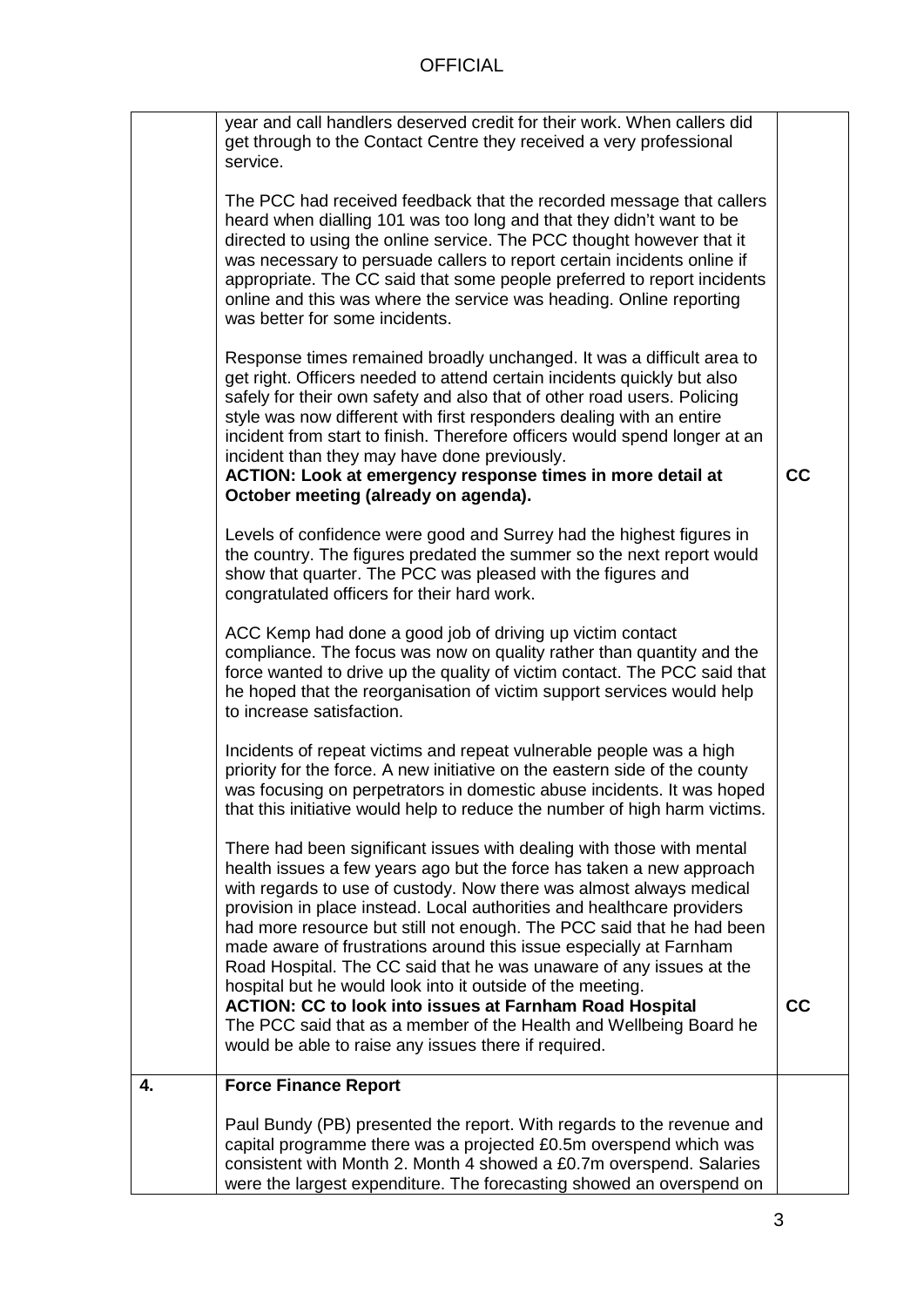|    | year and call handlers deserved credit for their work. When callers did<br>get through to the Contact Centre they received a very professional<br>service.                                                                                                                                                                                                                                                                                                                                                                                                                         |    |
|----|------------------------------------------------------------------------------------------------------------------------------------------------------------------------------------------------------------------------------------------------------------------------------------------------------------------------------------------------------------------------------------------------------------------------------------------------------------------------------------------------------------------------------------------------------------------------------------|----|
|    | The PCC had received feedback that the recorded message that callers<br>heard when dialling 101 was too long and that they didn't want to be<br>directed to using the online service. The PCC thought however that it<br>was necessary to persuade callers to report certain incidents online if<br>appropriate. The CC said that some people preferred to report incidents<br>online and this was where the service was heading. Online reporting<br>was better for some incidents.                                                                                               |    |
|    | Response times remained broadly unchanged. It was a difficult area to<br>get right. Officers needed to attend certain incidents quickly but also<br>safely for their own safety and also that of other road users. Policing<br>style was now different with first responders dealing with an entire<br>incident from start to finish. Therefore officers would spend longer at an<br>incident than they may have done previously.<br>ACTION: Look at emergency response times in more detail at<br>October meeting (already on agenda).                                            | cc |
|    | Levels of confidence were good and Surrey had the highest figures in<br>the country. The figures predated the summer so the next report would<br>show that quarter. The PCC was pleased with the figures and<br>congratulated officers for their hard work.                                                                                                                                                                                                                                                                                                                        |    |
|    | ACC Kemp had done a good job of driving up victim contact<br>compliance. The focus was now on quality rather than quantity and the<br>force wanted to drive up the quality of victim contact. The PCC said that<br>he hoped that the reorganisation of victim support services would help<br>to increase satisfaction.                                                                                                                                                                                                                                                             |    |
|    | Incidents of repeat victims and repeat vulnerable people was a high<br>priority for the force. A new initiative on the eastern side of the county<br>was focusing on perpetrators in domestic abuse incidents. It was hoped<br>that this initiative would help to reduce the number of high harm victims.                                                                                                                                                                                                                                                                          |    |
|    | There had been significant issues with dealing with those with mental<br>health issues a few years ago but the force has taken a new approach<br>with regards to use of custody. Now there was almost always medical<br>provision in place instead. Local authorities and healthcare providers<br>had more resource but still not enough. The PCC said that he had been<br>made aware of frustrations around this issue especially at Farnham<br>Road Hospital. The CC said that he was unaware of any issues at the<br>hospital but he would look into it outside of the meeting. |    |
|    | <b>ACTION: CC to look into issues at Farnham Road Hospital</b><br>The PCC said that as a member of the Health and Wellbeing Board he<br>would be able to raise any issues there if required.                                                                                                                                                                                                                                                                                                                                                                                       | cc |
| 4. | <b>Force Finance Report</b>                                                                                                                                                                                                                                                                                                                                                                                                                                                                                                                                                        |    |
|    | Paul Bundy (PB) presented the report. With regards to the revenue and<br>capital programme there was a projected £0.5m overspend which was<br>consistent with Month 2. Month 4 showed a £0.7m overspend. Salaries<br>were the largest expenditure. The forecasting showed an overspend on                                                                                                                                                                                                                                                                                          |    |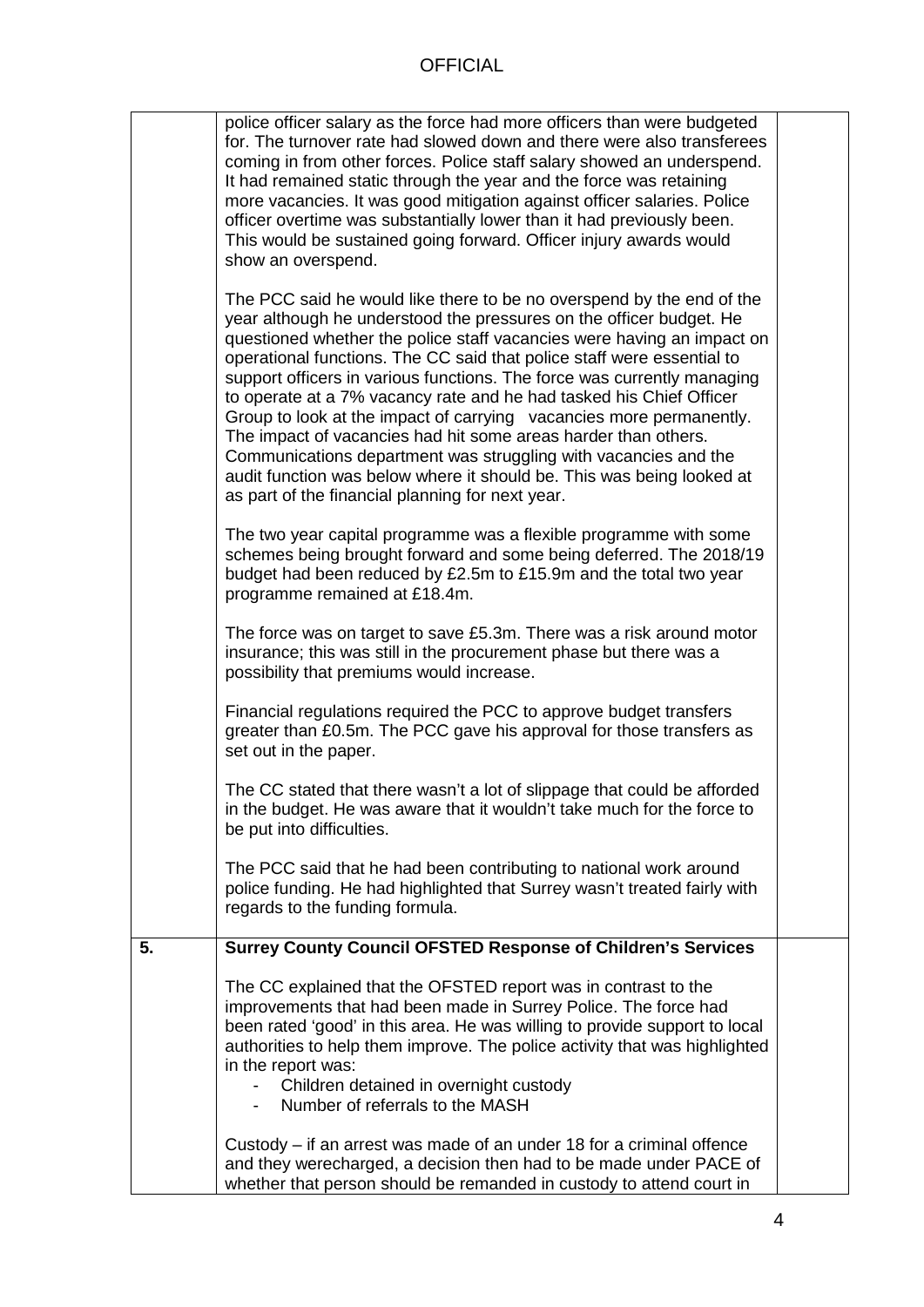|    | police officer salary as the force had more officers than were budgeted<br>for. The turnover rate had slowed down and there were also transferees<br>coming in from other forces. Police staff salary showed an underspend.<br>It had remained static through the year and the force was retaining<br>more vacancies. It was good mitigation against officer salaries. Police<br>officer overtime was substantially lower than it had previously been.<br>This would be sustained going forward. Officer injury awards would<br>show an overspend.<br>The PCC said he would like there to be no overspend by the end of the<br>year although he understood the pressures on the officer budget. He<br>questioned whether the police staff vacancies were having an impact on<br>operational functions. The CC said that police staff were essential to<br>support officers in various functions. The force was currently managing<br>to operate at a 7% vacancy rate and he had tasked his Chief Officer<br>Group to look at the impact of carrying vacancies more permanently.<br>The impact of vacancies had hit some areas harder than others.<br>Communications department was struggling with vacancies and the<br>audit function was below where it should be. This was being looked at<br>as part of the financial planning for next year.<br>The two year capital programme was a flexible programme with some<br>schemes being brought forward and some being deferred. The 2018/19<br>budget had been reduced by £2.5m to £15.9m and the total two year<br>programme remained at £18.4m.<br>The force was on target to save £5.3m. There was a risk around motor<br>insurance; this was still in the procurement phase but there was a<br>possibility that premiums would increase.<br>Financial regulations required the PCC to approve budget transfers<br>greater than £0.5m. The PCC gave his approval for those transfers as |  |
|----|---------------------------------------------------------------------------------------------------------------------------------------------------------------------------------------------------------------------------------------------------------------------------------------------------------------------------------------------------------------------------------------------------------------------------------------------------------------------------------------------------------------------------------------------------------------------------------------------------------------------------------------------------------------------------------------------------------------------------------------------------------------------------------------------------------------------------------------------------------------------------------------------------------------------------------------------------------------------------------------------------------------------------------------------------------------------------------------------------------------------------------------------------------------------------------------------------------------------------------------------------------------------------------------------------------------------------------------------------------------------------------------------------------------------------------------------------------------------------------------------------------------------------------------------------------------------------------------------------------------------------------------------------------------------------------------------------------------------------------------------------------------------------------------------------------------------------------------------------------------------------------------------------------------------------------------------|--|
|    | set out in the paper.<br>The CC stated that there wasn't a lot of slippage that could be afforded<br>in the budget. He was aware that it wouldn't take much for the force to<br>be put into difficulties.                                                                                                                                                                                                                                                                                                                                                                                                                                                                                                                                                                                                                                                                                                                                                                                                                                                                                                                                                                                                                                                                                                                                                                                                                                                                                                                                                                                                                                                                                                                                                                                                                                                                                                                                   |  |
|    | The PCC said that he had been contributing to national work around<br>police funding. He had highlighted that Surrey wasn't treated fairly with<br>regards to the funding formula.                                                                                                                                                                                                                                                                                                                                                                                                                                                                                                                                                                                                                                                                                                                                                                                                                                                                                                                                                                                                                                                                                                                                                                                                                                                                                                                                                                                                                                                                                                                                                                                                                                                                                                                                                          |  |
| 5. | <b>Surrey County Council OFSTED Response of Children's Services</b>                                                                                                                                                                                                                                                                                                                                                                                                                                                                                                                                                                                                                                                                                                                                                                                                                                                                                                                                                                                                                                                                                                                                                                                                                                                                                                                                                                                                                                                                                                                                                                                                                                                                                                                                                                                                                                                                         |  |
|    | The CC explained that the OFSTED report was in contrast to the<br>improvements that had been made in Surrey Police. The force had<br>been rated 'good' in this area. He was willing to provide support to local<br>authorities to help them improve. The police activity that was highlighted<br>in the report was:<br>Children detained in overnight custody<br>Number of referrals to the MASH                                                                                                                                                                                                                                                                                                                                                                                                                                                                                                                                                                                                                                                                                                                                                                                                                                                                                                                                                                                                                                                                                                                                                                                                                                                                                                                                                                                                                                                                                                                                            |  |
|    | Custody – if an arrest was made of an under 18 for a criminal offence<br>and they werecharged, a decision then had to be made under PACE of<br>whether that person should be remanded in custody to attend court in                                                                                                                                                                                                                                                                                                                                                                                                                                                                                                                                                                                                                                                                                                                                                                                                                                                                                                                                                                                                                                                                                                                                                                                                                                                                                                                                                                                                                                                                                                                                                                                                                                                                                                                         |  |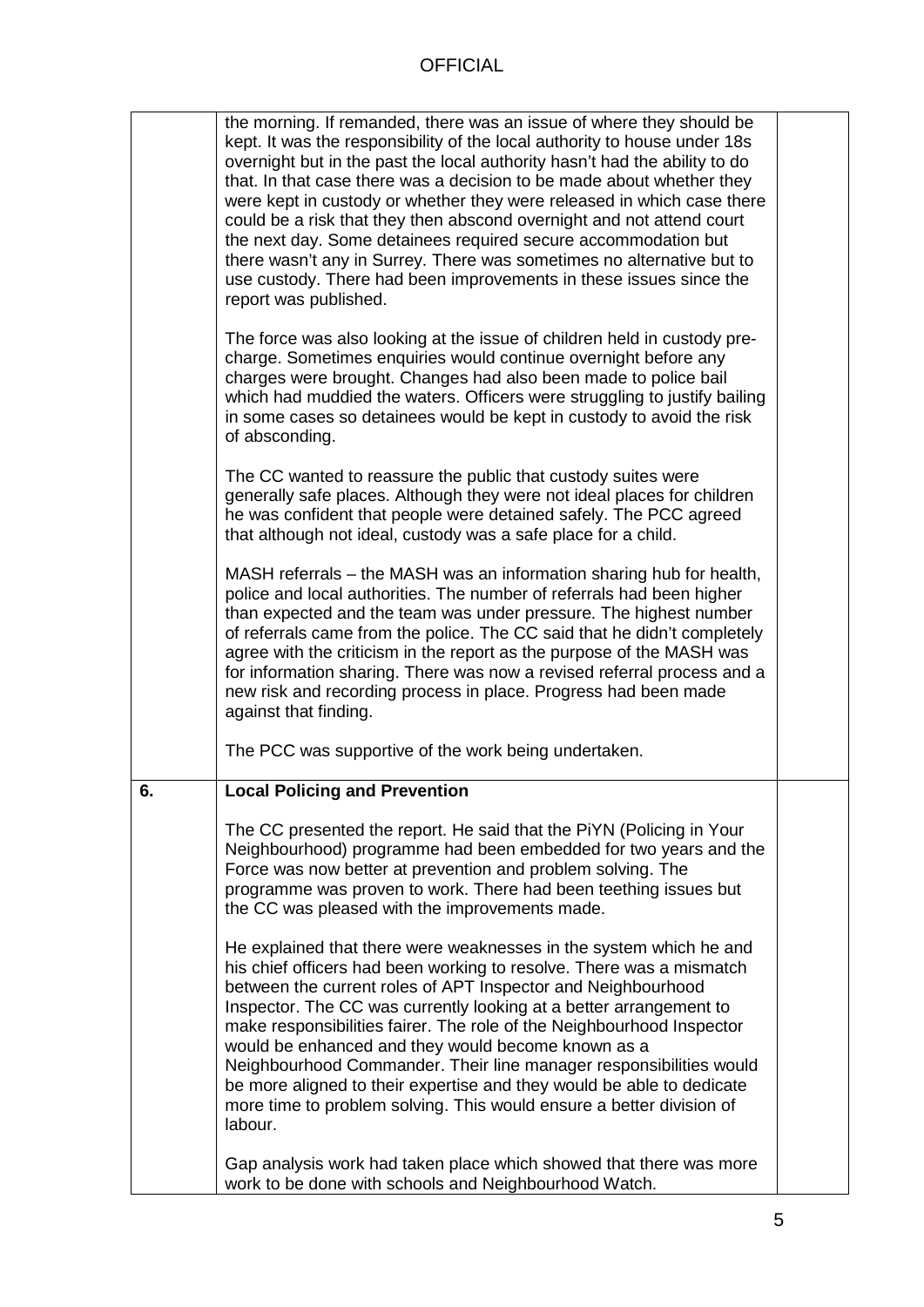|    | the morning. If remanded, there was an issue of where they should be<br>kept. It was the responsibility of the local authority to house under 18s<br>overnight but in the past the local authority hasn't had the ability to do<br>that. In that case there was a decision to be made about whether they<br>were kept in custody or whether they were released in which case there<br>could be a risk that they then abscond overnight and not attend court<br>the next day. Some detainees required secure accommodation but<br>there wasn't any in Surrey. There was sometimes no alternative but to<br>use custody. There had been improvements in these issues since the<br>report was published. |  |
|----|-------------------------------------------------------------------------------------------------------------------------------------------------------------------------------------------------------------------------------------------------------------------------------------------------------------------------------------------------------------------------------------------------------------------------------------------------------------------------------------------------------------------------------------------------------------------------------------------------------------------------------------------------------------------------------------------------------|--|
|    | The force was also looking at the issue of children held in custody pre-<br>charge. Sometimes enquiries would continue overnight before any<br>charges were brought. Changes had also been made to police bail<br>which had muddied the waters. Officers were struggling to justify bailing<br>in some cases so detainees would be kept in custody to avoid the risk<br>of absconding.                                                                                                                                                                                                                                                                                                                |  |
|    | The CC wanted to reassure the public that custody suites were<br>generally safe places. Although they were not ideal places for children<br>he was confident that people were detained safely. The PCC agreed<br>that although not ideal, custody was a safe place for a child.                                                                                                                                                                                                                                                                                                                                                                                                                       |  |
|    | MASH referrals – the MASH was an information sharing hub for health,<br>police and local authorities. The number of referrals had been higher<br>than expected and the team was under pressure. The highest number<br>of referrals came from the police. The CC said that he didn't completely<br>agree with the criticism in the report as the purpose of the MASH was<br>for information sharing. There was now a revised referral process and a<br>new risk and recording process in place. Progress had been made<br>against that finding.                                                                                                                                                        |  |
|    | The PCC was supportive of the work being undertaken.                                                                                                                                                                                                                                                                                                                                                                                                                                                                                                                                                                                                                                                  |  |
| 6. | <b>Local Policing and Prevention</b>                                                                                                                                                                                                                                                                                                                                                                                                                                                                                                                                                                                                                                                                  |  |
|    | The CC presented the report. He said that the PiYN (Policing in Your<br>Neighbourhood) programme had been embedded for two years and the<br>Force was now better at prevention and problem solving. The<br>programme was proven to work. There had been teething issues but<br>the CC was pleased with the improvements made.<br>He explained that there were weaknesses in the system which he and<br>his chief officers had been working to resolve. There was a mismatch                                                                                                                                                                                                                           |  |
|    | between the current roles of APT Inspector and Neighbourhood<br>Inspector. The CC was currently looking at a better arrangement to<br>make responsibilities fairer. The role of the Neighbourhood Inspector<br>would be enhanced and they would become known as a<br>Neighbourhood Commander. Their line manager responsibilities would<br>be more aligned to their expertise and they would be able to dedicate<br>more time to problem solving. This would ensure a better division of<br>labour.                                                                                                                                                                                                   |  |
|    | Gap analysis work had taken place which showed that there was more<br>work to be done with schools and Neighbourhood Watch.                                                                                                                                                                                                                                                                                                                                                                                                                                                                                                                                                                           |  |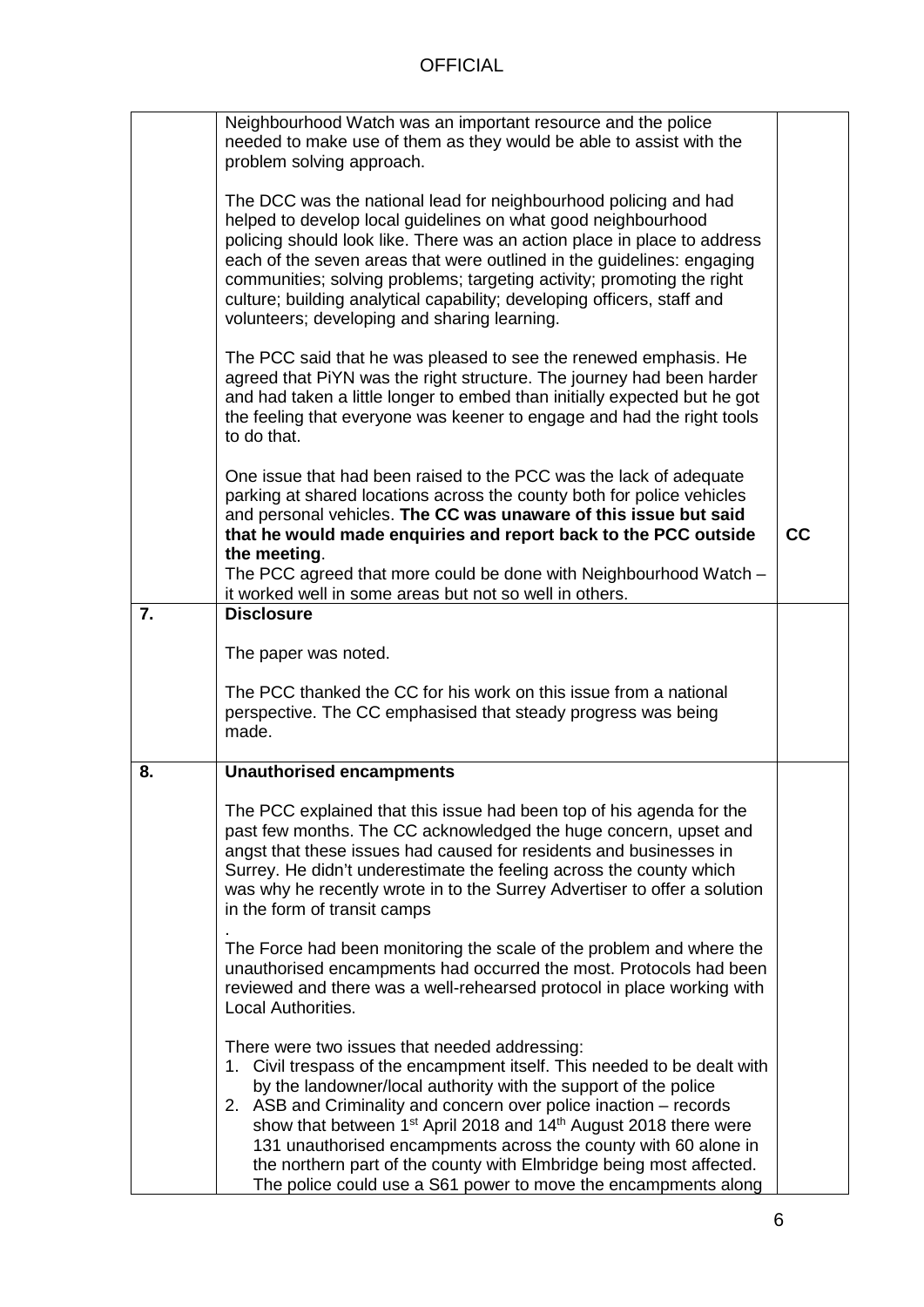|    | Neighbourhood Watch was an important resource and the police<br>needed to make use of them as they would be able to assist with the<br>problem solving approach.                                                                                                                                                                                                                                                                                                                                                                                                          |    |
|----|---------------------------------------------------------------------------------------------------------------------------------------------------------------------------------------------------------------------------------------------------------------------------------------------------------------------------------------------------------------------------------------------------------------------------------------------------------------------------------------------------------------------------------------------------------------------------|----|
|    | The DCC was the national lead for neighbourhood policing and had<br>helped to develop local guidelines on what good neighbourhood<br>policing should look like. There was an action place in place to address<br>each of the seven areas that were outlined in the guidelines: engaging<br>communities; solving problems; targeting activity; promoting the right<br>culture; building analytical capability; developing officers, staff and<br>volunteers; developing and sharing learning.                                                                              |    |
|    | The PCC said that he was pleased to see the renewed emphasis. He<br>agreed that PiYN was the right structure. The journey had been harder<br>and had taken a little longer to embed than initially expected but he got<br>the feeling that everyone was keener to engage and had the right tools<br>to do that.                                                                                                                                                                                                                                                           |    |
|    | One issue that had been raised to the PCC was the lack of adequate<br>parking at shared locations across the county both for police vehicles<br>and personal vehicles. The CC was unaware of this issue but said<br>that he would made enquiries and report back to the PCC outside<br>the meeting.<br>The PCC agreed that more could be done with Neighbourhood Watch -<br>it worked well in some areas but not so well in others.                                                                                                                                       | cc |
| 7. | <b>Disclosure</b>                                                                                                                                                                                                                                                                                                                                                                                                                                                                                                                                                         |    |
|    | The paper was noted.                                                                                                                                                                                                                                                                                                                                                                                                                                                                                                                                                      |    |
|    | The PCC thanked the CC for his work on this issue from a national<br>perspective. The CC emphasised that steady progress was being<br>made.                                                                                                                                                                                                                                                                                                                                                                                                                               |    |
| 8. | <b>Unauthorised encampments</b>                                                                                                                                                                                                                                                                                                                                                                                                                                                                                                                                           |    |
|    | The PCC explained that this issue had been top of his agenda for the<br>past few months. The CC acknowledged the huge concern, upset and<br>angst that these issues had caused for residents and businesses in<br>Surrey. He didn't underestimate the feeling across the county which<br>was why he recently wrote in to the Surrey Advertiser to offer a solution<br>in the form of transit camps                                                                                                                                                                        |    |
|    | The Force had been monitoring the scale of the problem and where the<br>unauthorised encampments had occurred the most. Protocols had been<br>reviewed and there was a well-rehearsed protocol in place working with<br>Local Authorities.                                                                                                                                                                                                                                                                                                                                |    |
|    | There were two issues that needed addressing:<br>1. Civil trespass of the encampment itself. This needed to be dealt with<br>by the landowner/local authority with the support of the police<br>2. ASB and Criminality and concern over police inaction – records<br>show that between 1 <sup>st</sup> April 2018 and 14 <sup>th</sup> August 2018 there were<br>131 unauthorised encampments across the county with 60 alone in<br>the northern part of the county with Elmbridge being most affected.<br>The police could use a S61 power to move the encampments along |    |